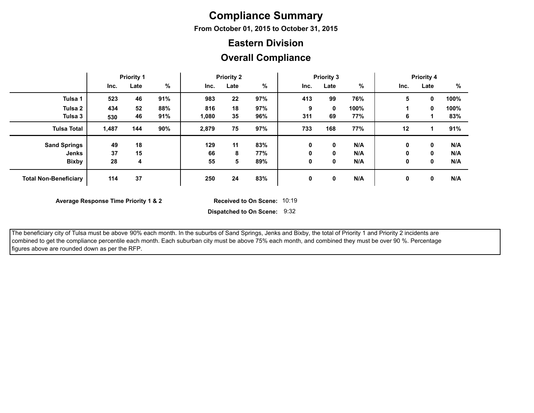## **Compliance Summary**

**From October 01, 2015 to October 31, 2015**

#### **Eastern Division**

#### **Overall Compliance**

|                              | <b>Priority 1</b> |      |      | <b>Priority 2</b> |      |     | <b>Priority 3</b> |             |      | <b>Priority 4</b> |      |      |
|------------------------------|-------------------|------|------|-------------------|------|-----|-------------------|-------------|------|-------------------|------|------|
|                              | Inc.              | Late | $\%$ | Inc.              | Late | %   | Inc.              | Late        | %    | Inc.              | Late | %    |
| Tulsa 1                      | 523               | 46   | 91%  | 983               | 22   | 97% | 413               | 99          | 76%  | 5                 | 0    | 100% |
| Tulsa <sub>2</sub>           | 434               | 52   | 88%  | 816               | 18   | 97% | 9                 | $\mathbf 0$ | 100% |                   | 0    | 100% |
| Tulsa 3                      | 530               | 46   | 91%  | 1,080             | 35   | 96% | 311               | 69          | 77%  | 6                 |      | 83%  |
| <b>Tulsa Total</b>           | 1,487             | 144  | 90%  | 2,879             | 75   | 97% | 733               | 168         | 77%  | 12                |      | 91%  |
| <b>Sand Springs</b>          | 49                | 18   |      | 129               | 11   | 83% | 0                 | 0           | N/A  | 0                 | 0    | N/A  |
| Jenks                        | 37                | 15   |      | 66                | 8    | 77% | 0                 | $\mathbf 0$ | N/A  | 0                 | 0    | N/A  |
| <b>Bixby</b>                 | 28                | 4    |      | 55                | 5    | 89% | 0                 | 0           | N/A  | 0                 | 0    | N/A  |
| <b>Total Non-Beneficiary</b> | 114               | 37   |      | 250               | 24   | 83% | $\mathbf 0$       | $\mathbf 0$ | N/A  | 0                 | 0    | N/A  |

**Average Response Time Priority 1 & 2** 

Received to On Scene: 10:19

**Dispatched to On Scene:** 9:32

The beneficiary city of Tulsa must be above 90% each month. In the suburbs of Sand Springs, Jenks and Bixby, the total of Priority 1 and Priority 2 incidents are combined to get the compliance percentile each month. Each suburban city must be above 75% each month, and combined they must be over 90 %. Percentage figures above are rounded down as per the RFP.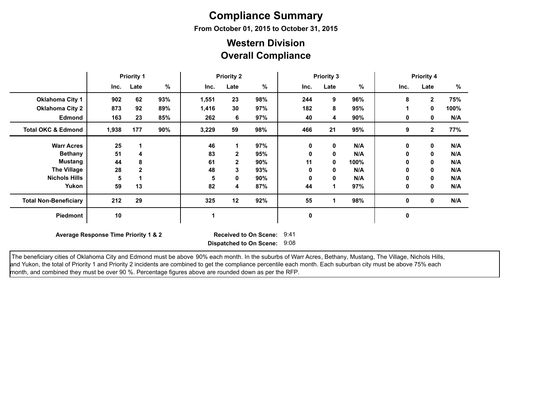# **Compliance Summary**

**From October 01, 2015 to October 31, 2015**

### **Overall Compliance Western Division**

|                               | <b>Priority 1</b>                                                                                            |              |     | <b>Priority 2</b> |              |     | <b>Priority 3</b> |             |      | <b>Priority 4</b> |                |      |
|-------------------------------|--------------------------------------------------------------------------------------------------------------|--------------|-----|-------------------|--------------|-----|-------------------|-------------|------|-------------------|----------------|------|
|                               | Inc.                                                                                                         | Late         | %   | Inc.              | Late         | %   | Inc.              | Late        | %    | Inc.              | Late           | %    |
| <b>Oklahoma City 1</b>        | 902                                                                                                          | 62           | 93% | 1,551             | 23           | 98% | 244               | 9           | 96%  | 8                 | $\overline{2}$ | 75%  |
| <b>Oklahoma City 2</b>        | 873                                                                                                          | 92           | 89% | 1,416             | 30           | 97% | 182               | 8           | 95%  |                   | 0              | 100% |
| <b>Edmond</b>                 | 163                                                                                                          | 23           | 85% | 262               | 6            | 97% | 40                | 4           | 90%  | 0                 | 0              | N/A  |
| <b>Total OKC &amp; Edmond</b> | 1,938                                                                                                        | 177          | 90% | 3,229             | 59           | 98% | 466               | 21          | 95%  | 9                 | $\mathbf{2}$   | 77%  |
| <b>Warr Acres</b>             | 25                                                                                                           |              |     | 46                |              | 97% | 0                 | 0           | N/A  | 0                 | $\mathbf 0$    | N/A  |
| <b>Bethany</b>                | 51                                                                                                           | 4            |     | 83                | 2            | 95% | 0                 | $\mathbf 0$ | N/A  | 0                 | 0              | N/A  |
| <b>Mustang</b>                | 44                                                                                                           | 8            |     | 61                | $\mathbf{2}$ | 90% | 11                | 0           | 100% | 0                 | 0              | N/A  |
| <b>The Village</b>            | 28                                                                                                           | $\mathbf{2}$ |     | 48                | 3            | 93% | 0                 | 0           | N/A  | 0                 | 0              | N/A  |
| <b>Nichols Hills</b>          | 5                                                                                                            |              |     | 5                 | 0            | 90% | 0                 | 0           | N/A  | 0                 | 0              | N/A  |
| Yukon                         | 59                                                                                                           | 13           |     | 82                | 4            | 87% | 44                | 1           | 97%  | 0                 | 0              | N/A  |
| <b>Total Non-Beneficiary</b>  | 212                                                                                                          | 29           |     | 325               | 12           | 92% | 55                |             | 98%  | 0                 | 0              | N/A  |
| Piedmont                      | 10                                                                                                           |              |     | 1                 |              |     | 0                 |             |      | 0                 |                |      |
|                               | Average Response Time Priority 1 & 2<br><b>Received to On Scene:</b><br>9:41<br>Dispatched to On Scene: 9:08 |              |     |                   |              |     |                   |             |      |                   |                |      |

The beneficiary cities of Oklahoma City and Edmond must be above 90% each month. In the suburbs of Warr Acres, Bethany, Mustang, The Village, Nichols Hills, and Yukon, the total of Priority 1 and Priority 2 incidents are combined to get the compliance percentile each month. Each suburban city must be above 75% each month, and combined they must be over 90 %. Percentage figures above are rounded down as per the RFP.